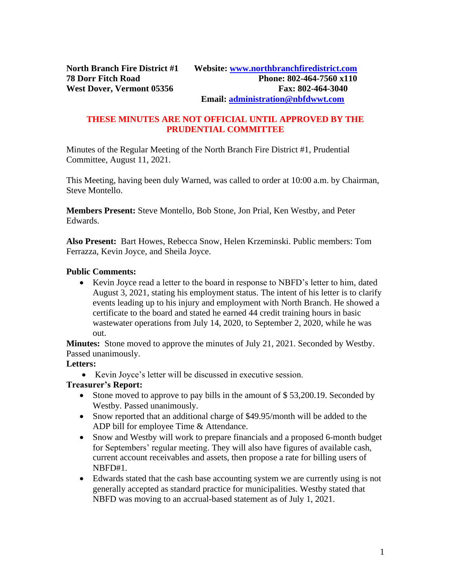#### **THESE MINUTES ARE NOT OFFICIAL UNTIL APPROVED BY THE PRUDENTIAL COMMITTEE**

Minutes of the Regular Meeting of the North Branch Fire District #1, Prudential Committee, August 11, 2021.

This Meeting, having been duly Warned, was called to order at 10:00 a.m. by Chairman, Steve Montello.

**Members Present:** Steve Montello, Bob Stone, Jon Prial, Ken Westby, and Peter Edwards.

**Also Present:** Bart Howes, Rebecca Snow, Helen Krzeminski. Public members: Tom Ferrazza, Kevin Joyce, and Sheila Joyce.

#### **Public Comments:**

• Kevin Joyce read a letter to the board in response to NBFD's letter to him, dated August 3, 2021, stating his employment status. The intent of his letter is to clarify events leading up to his injury and employment with North Branch. He showed a certificate to the board and stated he earned 44 credit training hours in basic wastewater operations from July 14, 2020, to September 2, 2020, while he was out.

**Minutes:** Stone moved to approve the minutes of July 21, 2021. Seconded by Westby. Passed unanimously.

#### **Letters:**

• Kevin Joyce's letter will be discussed in executive session.

#### **Treasurer's Report:**

- Stone moved to approve to pay bills in the amount of \$53,200.19. Seconded by Westby. Passed unanimously.
- Snow reported that an additional charge of \$49.95/month will be added to the ADP bill for employee Time & Attendance.
- Snow and Westby will work to prepare financials and a proposed 6-month budget for Septembers' regular meeting. They will also have figures of available cash, current account receivables and assets, then propose a rate for billing users of NBFD#1.
- Edwards stated that the cash base accounting system we are currently using is not generally accepted as standard practice for municipalities. Westby stated that NBFD was moving to an accrual-based statement as of July 1, 2021.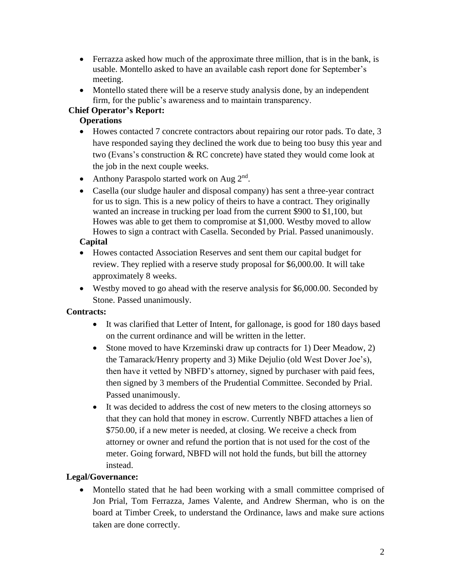- Ferrazza asked how much of the approximate three million, that is in the bank, is usable. Montello asked to have an available cash report done for September's meeting.
- Montello stated there will be a reserve study analysis done, by an independent firm, for the public's awareness and to maintain transparency.

## **Chief Operator's Report:**

#### **Operations**

- Howes contacted 7 concrete contractors about repairing our rotor pads. To date, 3 have responded saying they declined the work due to being too busy this year and two (Evans's construction  $& RC$  concrete) have stated they would come look at the job in the next couple weeks.
- Anthony Paraspolo started work on Aug 2<sup>nd</sup>.
- Casella (our sludge hauler and disposal company) has sent a three-year contract for us to sign. This is a new policy of theirs to have a contract. They originally wanted an increase in trucking per load from the current \$900 to \$1,100, but Howes was able to get them to compromise at \$1,000. Westby moved to allow Howes to sign a contract with Casella. Seconded by Prial. Passed unanimously.

## **Capital**

- Howes contacted Association Reserves and sent them our capital budget for review. They replied with a reserve study proposal for \$6,000.00. It will take approximately 8 weeks.
- Westby moved to go ahead with the reserve analysis for \$6,000.00. Seconded by Stone. Passed unanimously.

## **Contracts:**

- It was clarified that Letter of Intent, for gallonage, is good for 180 days based on the current ordinance and will be written in the letter.
- Stone moved to have Krzeminski draw up contracts for 1) Deer Meadow, 2) the Tamarack/Henry property and 3) Mike Dejulio (old West Dover Joe's), then have it vetted by NBFD's attorney, signed by purchaser with paid fees, then signed by 3 members of the Prudential Committee. Seconded by Prial. Passed unanimously.
- It was decided to address the cost of new meters to the closing attorneys so that they can hold that money in escrow. Currently NBFD attaches a lien of \$750.00, if a new meter is needed, at closing. We receive a check from attorney or owner and refund the portion that is not used for the cost of the meter. Going forward, NBFD will not hold the funds, but bill the attorney instead.

## **Legal/Governance:**

• Montello stated that he had been working with a small committee comprised of Jon Prial, Tom Ferrazza, James Valente, and Andrew Sherman, who is on the board at Timber Creek, to understand the Ordinance, laws and make sure actions taken are done correctly.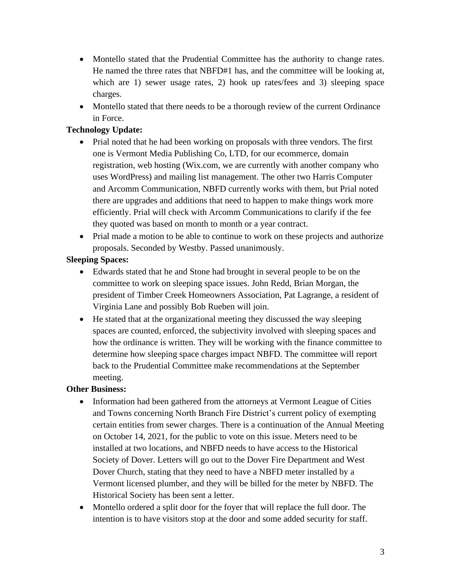- Montello stated that the Prudential Committee has the authority to change rates. He named the three rates that NBFD#1 has, and the committee will be looking at, which are 1) sewer usage rates, 2) hook up rates/fees and 3) sleeping space charges.
- Montello stated that there needs to be a thorough review of the current Ordinance in Force.

## **Technology Update:**

- Prial noted that he had been working on proposals with three vendors. The first one is Vermont Media Publishing Co, LTD, for our ecommerce, domain registration, web hosting (Wix.com, we are currently with another company who uses WordPress) and mailing list management. The other two Harris Computer and Arcomm Communication, NBFD currently works with them, but Prial noted there are upgrades and additions that need to happen to make things work more efficiently. Prial will check with Arcomm Communications to clarify if the fee they quoted was based on month to month or a year contract.
- Prial made a motion to be able to continue to work on these projects and authorize proposals. Seconded by Westby. Passed unanimously.

# **Sleeping Spaces:**

- Edwards stated that he and Stone had brought in several people to be on the committee to work on sleeping space issues. John Redd, Brian Morgan, the president of Timber Creek Homeowners Association, Pat Lagrange, a resident of Virginia Lane and possibly Bob Rueben will join.
- He stated that at the organizational meeting they discussed the way sleeping spaces are counted, enforced, the subjectivity involved with sleeping spaces and how the ordinance is written. They will be working with the finance committee to determine how sleeping space charges impact NBFD. The committee will report back to the Prudential Committee make recommendations at the September meeting.

## **Other Business:**

- Information had been gathered from the attorneys at Vermont League of Cities and Towns concerning North Branch Fire District's current policy of exempting certain entities from sewer charges. There is a continuation of the Annual Meeting on October 14, 2021, for the public to vote on this issue. Meters need to be installed at two locations, and NBFD needs to have access to the Historical Society of Dover. Letters will go out to the Dover Fire Department and West Dover Church, stating that they need to have a NBFD meter installed by a Vermont licensed plumber, and they will be billed for the meter by NBFD. The Historical Society has been sent a letter.
- Montello ordered a split door for the foyer that will replace the full door. The intention is to have visitors stop at the door and some added security for staff.